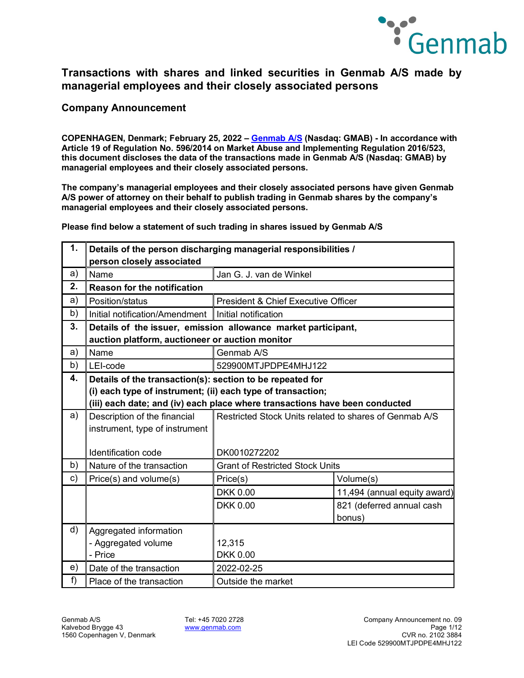

**Company Announcement**

**COPENHAGEN, Denmark; February 25, 2022 – [Genmab A/S](https://www.genmab.com/) (Nasdaq: GMAB) - In accordance with Article 19 of Regulation No. 596/2014 on Market Abuse and Implementing Regulation 2016/523, this document discloses the data of the transactions made in Genmab A/S (Nasdaq: GMAB) by managerial employees and their closely associated persons.**

**The company's managerial employees and their closely associated persons have given Genmab A/S power of attorney on their behalf to publish trading in Genmab shares by the company's managerial employees and their closely associated persons.**

**Please find below a statement of such trading in shares issued by Genmab A/S**

| 1. | Details of the person discharging managerial responsibilities /<br>person closely associated                             |                                                                             |                                     |
|----|--------------------------------------------------------------------------------------------------------------------------|-----------------------------------------------------------------------------|-------------------------------------|
| a) | Name                                                                                                                     | Jan G. J. van de Winkel                                                     |                                     |
| 2. | <b>Reason for the notification</b>                                                                                       |                                                                             |                                     |
| a) | Position/status                                                                                                          | President & Chief Executive Officer                                         |                                     |
| b) | Initial notification/Amendment Initial notification                                                                      |                                                                             |                                     |
| 3. | Details of the issuer, emission allowance market participant,<br>auction platform, auctioneer or auction monitor         |                                                                             |                                     |
| a) | Name                                                                                                                     | Genmab A/S                                                                  |                                     |
| b) | LEI-code                                                                                                                 | 529900MTJPDPE4MHJ122                                                        |                                     |
| 4. | Details of the transaction(s): section to be repeated for<br>(i) each type of instrument; (ii) each type of transaction; | (iii) each date; and (iv) each place where transactions have been conducted |                                     |
| a) | Description of the financial<br>instrument, type of instrument                                                           | Restricted Stock Units related to shares of Genmab A/S                      |                                     |
|    | Identification code                                                                                                      | DK0010272202                                                                |                                     |
| b) | Nature of the transaction                                                                                                | <b>Grant of Restricted Stock Units</b>                                      |                                     |
| c) | Price(s) and volume(s)                                                                                                   | Price(s)                                                                    | Volume(s)                           |
|    |                                                                                                                          | <b>DKK 0.00</b>                                                             | 11,494 (annual equity award)        |
|    |                                                                                                                          | <b>DKK 0.00</b>                                                             | 821 (deferred annual cash<br>bonus) |
| d) | Aggregated information<br>- Aggregated volume<br>- Price                                                                 | 12,315<br><b>DKK 0.00</b>                                                   |                                     |
| e) | Date of the transaction                                                                                                  | 2022-02-25                                                                  |                                     |
| f  | Place of the transaction                                                                                                 | Outside the market                                                          |                                     |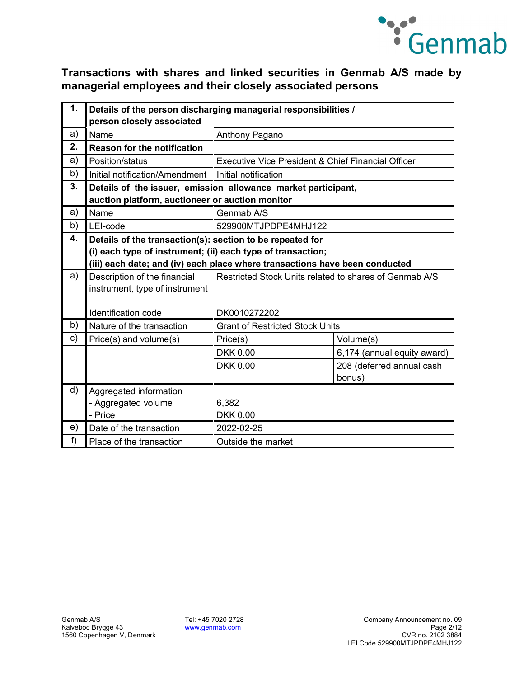

| 1. | Details of the person discharging managerial responsibilities /<br>person closely associated                     |                                                                             |                                                             |  |
|----|------------------------------------------------------------------------------------------------------------------|-----------------------------------------------------------------------------|-------------------------------------------------------------|--|
| a) | Name<br>Anthony Pagano                                                                                           |                                                                             |                                                             |  |
| 2. | <b>Reason for the notification</b>                                                                               |                                                                             |                                                             |  |
| a) | Position/status                                                                                                  | Executive Vice President & Chief Financial Officer                          |                                                             |  |
| b) | Initial notification/Amendment                                                                                   | Initial notification                                                        |                                                             |  |
| 3. | Details of the issuer, emission allowance market participant,<br>auction platform, auctioneer or auction monitor |                                                                             |                                                             |  |
| a) | Name                                                                                                             | Genmab A/S                                                                  |                                                             |  |
| b) | LEI-code                                                                                                         | 529900MTJPDPE4MHJ122                                                        |                                                             |  |
| 4. | Details of the transaction(s): section to be repeated for                                                        |                                                                             |                                                             |  |
|    |                                                                                                                  |                                                                             | (i) each type of instrument; (ii) each type of transaction; |  |
|    |                                                                                                                  | (iii) each date; and (iv) each place where transactions have been conducted |                                                             |  |
| a) | Description of the financial                                                                                     | Restricted Stock Units related to shares of Genmab A/S                      |                                                             |  |
|    | instrument, type of instrument                                                                                   |                                                                             |                                                             |  |
|    | Identification code                                                                                              | DK0010272202                                                                |                                                             |  |
| b) | Nature of the transaction                                                                                        | <b>Grant of Restricted Stock Units</b>                                      |                                                             |  |
| c) | Price(s) and volume(s)                                                                                           | Price(s)                                                                    | Volume(s)                                                   |  |
|    |                                                                                                                  | <b>DKK 0.00</b>                                                             | 6,174 (annual equity award)                                 |  |
|    |                                                                                                                  | <b>DKK 0.00</b>                                                             | 208 (deferred annual cash                                   |  |
|    |                                                                                                                  |                                                                             | bonus)                                                      |  |
| d) | Aggregated information                                                                                           |                                                                             |                                                             |  |
|    | - Aggregated volume                                                                                              | 6,382                                                                       |                                                             |  |
|    | - Price                                                                                                          | <b>DKK 0.00</b>                                                             |                                                             |  |
| e) | Date of the transaction                                                                                          | 2022-02-25                                                                  |                                                             |  |
| f  | Place of the transaction                                                                                         | Outside the market                                                          |                                                             |  |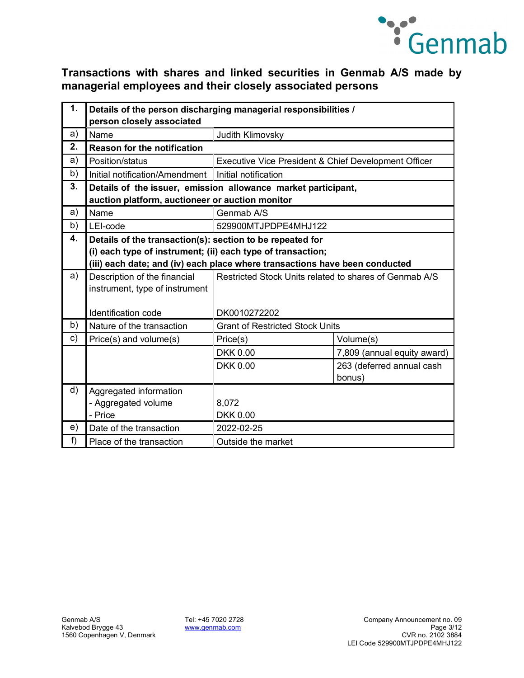

| 1. | Details of the person discharging managerial responsibilities /<br>person closely associated                             |                                                                             |                             |
|----|--------------------------------------------------------------------------------------------------------------------------|-----------------------------------------------------------------------------|-----------------------------|
| a) | Name                                                                                                                     | Judith Klimovsky                                                            |                             |
| 2. | <b>Reason for the notification</b>                                                                                       |                                                                             |                             |
| a) | Position/status                                                                                                          | Executive Vice President & Chief Development Officer                        |                             |
| b) | Initial notification/Amendment                                                                                           | Initial notification                                                        |                             |
| 3. | Details of the issuer, emission allowance market participant,<br>auction platform, auctioneer or auction monitor         |                                                                             |                             |
| a) | Name                                                                                                                     | Genmab A/S                                                                  |                             |
| b) | LEI-code                                                                                                                 | 529900MTJPDPE4MHJ122                                                        |                             |
| 4. | Details of the transaction(s): section to be repeated for<br>(i) each type of instrument; (ii) each type of transaction; | (iii) each date; and (iv) each place where transactions have been conducted |                             |
| a) | Description of the financial<br>instrument, type of instrument                                                           | Restricted Stock Units related to shares of Genmab A/S                      |                             |
|    | Identification code                                                                                                      | DK0010272202                                                                |                             |
| b) | Nature of the transaction                                                                                                | <b>Grant of Restricted Stock Units</b>                                      |                             |
| c) | Price(s) and volume(s)                                                                                                   | Price(s)                                                                    | Volume(s)                   |
|    |                                                                                                                          | <b>DKK 0.00</b>                                                             | 7,809 (annual equity award) |
|    |                                                                                                                          | <b>DKK 0.00</b>                                                             | 263 (deferred annual cash   |
|    |                                                                                                                          |                                                                             | bonus)                      |
| d) | Aggregated information<br>- Aggregated volume<br>- Price                                                                 | 8,072<br><b>DKK 0.00</b>                                                    |                             |
| e) | Date of the transaction                                                                                                  | 2022-02-25                                                                  |                             |
| f) | Place of the transaction                                                                                                 | Outside the market                                                          |                             |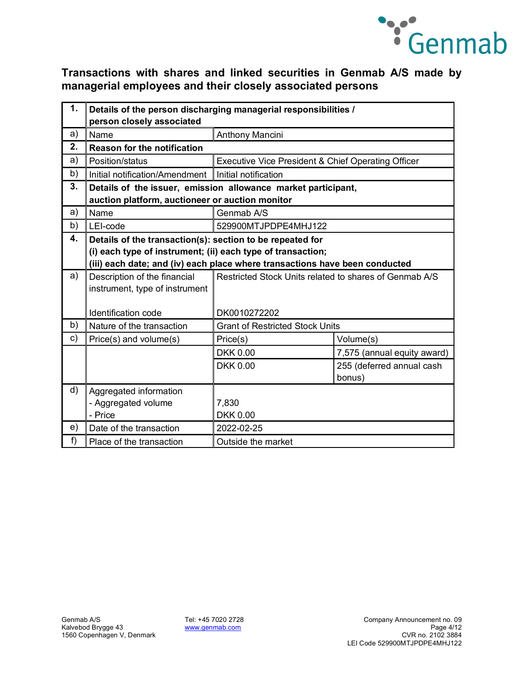

| 1. | Details of the person discharging managerial responsibilities /<br>person closely associated                     |                                                                             |                             |
|----|------------------------------------------------------------------------------------------------------------------|-----------------------------------------------------------------------------|-----------------------------|
| a) | Name                                                                                                             | Anthony Mancini                                                             |                             |
| 2. | <b>Reason for the notification</b>                                                                               |                                                                             |                             |
| a) | Position/status                                                                                                  | Executive Vice President & Chief Operating Officer                          |                             |
| b) | Initial notification/Amendment                                                                                   | Initial notification                                                        |                             |
| 3. | Details of the issuer, emission allowance market participant,<br>auction platform, auctioneer or auction monitor |                                                                             |                             |
| a) | Name                                                                                                             | Genmab A/S                                                                  |                             |
| b) | LEI-code                                                                                                         | 529900MTJPDPE4MHJ122                                                        |                             |
| 4. | Details of the transaction(s): section to be repeated for                                                        |                                                                             |                             |
|    | (i) each type of instrument; (ii) each type of transaction;                                                      |                                                                             |                             |
|    |                                                                                                                  | (iii) each date; and (iv) each place where transactions have been conducted |                             |
| a) | Description of the financial                                                                                     | Restricted Stock Units related to shares of Genmab A/S                      |                             |
|    | instrument, type of instrument                                                                                   |                                                                             |                             |
|    | <b>Identification code</b>                                                                                       | DK0010272202                                                                |                             |
| b) | Nature of the transaction                                                                                        | <b>Grant of Restricted Stock Units</b>                                      |                             |
| c) | Price(s) and volume(s)                                                                                           | Price(s)                                                                    | Volume(s)                   |
|    |                                                                                                                  | <b>DKK 0.00</b>                                                             | 7,575 (annual equity award) |
|    |                                                                                                                  | <b>DKK 0.00</b>                                                             | 255 (deferred annual cash   |
|    |                                                                                                                  |                                                                             | bonus)                      |
| d) | Aggregated information                                                                                           |                                                                             |                             |
|    | - Aggregated volume                                                                                              | 7,830                                                                       |                             |
|    | - Price                                                                                                          | <b>DKK 0.00</b>                                                             |                             |
| e) | Date of the transaction                                                                                          | 2022-02-25                                                                  |                             |
| f) | Place of the transaction                                                                                         | Outside the market                                                          |                             |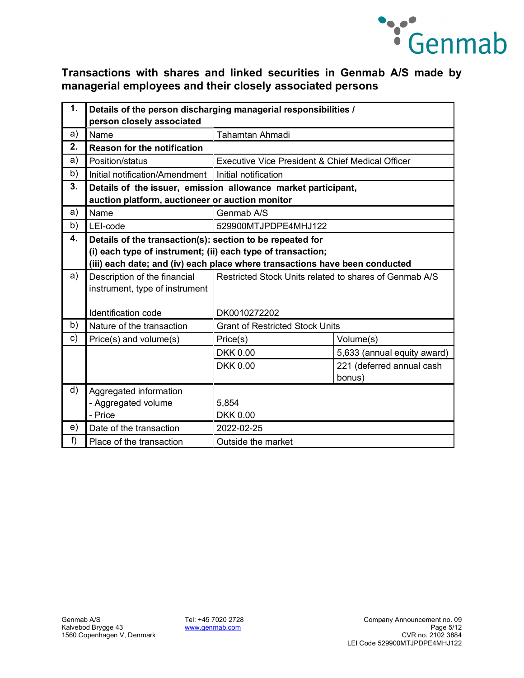

| 1. | Details of the person discharging managerial responsibilities /<br>person closely associated                     |                                                                             |                             |
|----|------------------------------------------------------------------------------------------------------------------|-----------------------------------------------------------------------------|-----------------------------|
| a) | Name<br><b>Tahamtan Ahmadi</b>                                                                                   |                                                                             |                             |
| 2. | <b>Reason for the notification</b>                                                                               |                                                                             |                             |
| a) | Position/status                                                                                                  | Executive Vice President & Chief Medical Officer                            |                             |
| b) | Initial notification/Amendment                                                                                   | Initial notification                                                        |                             |
| 3. | Details of the issuer, emission allowance market participant,<br>auction platform, auctioneer or auction monitor |                                                                             |                             |
| a) | Name                                                                                                             | Genmab A/S                                                                  |                             |
| b) | LEI-code                                                                                                         | 529900MTJPDPE4MHJ122                                                        |                             |
| 4. | Details of the transaction(s): section to be repeated for                                                        |                                                                             |                             |
|    | (i) each type of instrument; (ii) each type of transaction;                                                      |                                                                             |                             |
|    |                                                                                                                  | (iii) each date; and (iv) each place where transactions have been conducted |                             |
| a) | Description of the financial                                                                                     | Restricted Stock Units related to shares of Genmab A/S                      |                             |
|    | instrument, type of instrument                                                                                   |                                                                             |                             |
|    | Identification code                                                                                              | DK0010272202                                                                |                             |
| b) | Nature of the transaction                                                                                        | <b>Grant of Restricted Stock Units</b>                                      |                             |
| c) | Price(s) and volume(s)                                                                                           | Price(s)                                                                    | Volume(s)                   |
|    |                                                                                                                  | <b>DKK 0.00</b>                                                             | 5,633 (annual equity award) |
|    |                                                                                                                  | <b>DKK 0.00</b>                                                             | 221 (deferred annual cash   |
|    |                                                                                                                  |                                                                             | bonus)                      |
| d) | Aggregated information                                                                                           |                                                                             |                             |
|    | - Aggregated volume                                                                                              | 5,854                                                                       |                             |
|    | - Price                                                                                                          | <b>DKK 0.00</b>                                                             |                             |
| e) | Date of the transaction                                                                                          | 2022-02-25                                                                  |                             |
| f) | Place of the transaction                                                                                         | Outside the market                                                          |                             |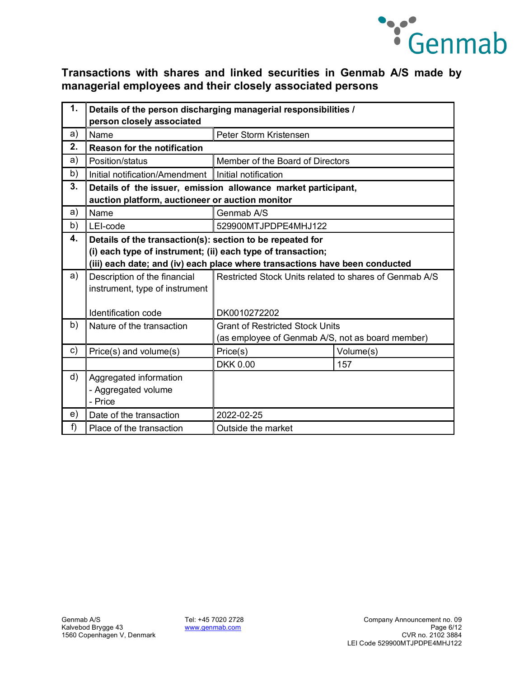

| 1. | Details of the person discharging managerial responsibilities / |                                                                             |           |  |
|----|-----------------------------------------------------------------|-----------------------------------------------------------------------------|-----------|--|
|    | person closely associated                                       |                                                                             |           |  |
| a) | Peter Storm Kristensen<br>Name                                  |                                                                             |           |  |
| 2. | <b>Reason for the notification</b>                              |                                                                             |           |  |
| a) | Position/status                                                 | Member of the Board of Directors                                            |           |  |
| b) | Initial notification/Amendment   Initial notification           |                                                                             |           |  |
| 3. | Details of the issuer, emission allowance market participant,   |                                                                             |           |  |
|    | auction platform, auctioneer or auction monitor                 |                                                                             |           |  |
| a) | Name                                                            | Genmab A/S                                                                  |           |  |
| b) | LEI-code                                                        | 529900MTJPDPE4MHJ122                                                        |           |  |
| 4. | Details of the transaction(s): section to be repeated for       |                                                                             |           |  |
|    | (i) each type of instrument; (ii) each type of transaction;     |                                                                             |           |  |
|    |                                                                 | (iii) each date; and (iv) each place where transactions have been conducted |           |  |
| a) | Description of the financial                                    | Restricted Stock Units related to shares of Genmab A/S                      |           |  |
|    | instrument, type of instrument                                  |                                                                             |           |  |
|    |                                                                 |                                                                             |           |  |
|    | Identification code                                             | DK0010272202                                                                |           |  |
| b) | Nature of the transaction                                       | <b>Grant of Restricted Stock Units</b>                                      |           |  |
|    |                                                                 | (as employee of Genmab A/S, not as board member)                            |           |  |
| c) | Price(s) and volume(s)                                          | Price(s)                                                                    | Volume(s) |  |
|    |                                                                 | <b>DKK 0.00</b>                                                             | 157       |  |
| d) | Aggregated information                                          |                                                                             |           |  |
|    | - Aggregated volume                                             |                                                                             |           |  |
|    | - Price                                                         |                                                                             |           |  |
| e) | Date of the transaction                                         | 2022-02-25                                                                  |           |  |
| f) | Place of the transaction                                        | Outside the market                                                          |           |  |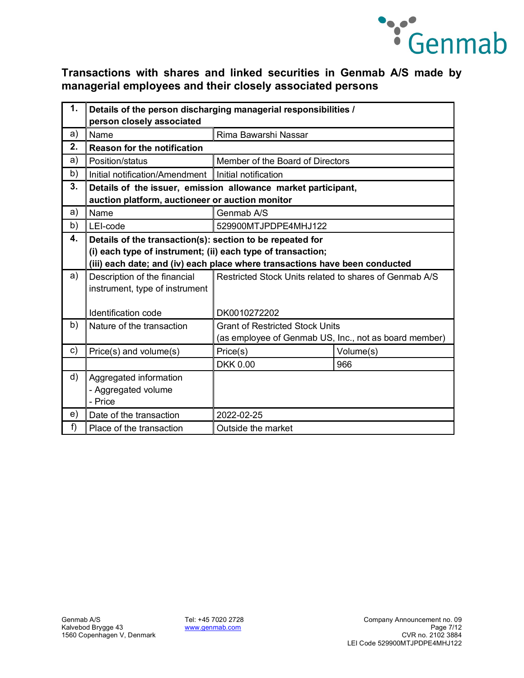

| 1. | Details of the person discharging managerial responsibilities / |                                                                             |           |  |
|----|-----------------------------------------------------------------|-----------------------------------------------------------------------------|-----------|--|
|    | person closely associated                                       |                                                                             |           |  |
| a) | Name                                                            | Rima Bawarshi Nassar                                                        |           |  |
| 2. | Reason for the notification                                     |                                                                             |           |  |
| a) | Position/status                                                 | Member of the Board of Directors                                            |           |  |
| b) | Initial notification/Amendment   Initial notification           |                                                                             |           |  |
| 3. | Details of the issuer, emission allowance market participant,   |                                                                             |           |  |
|    | auction platform, auctioneer or auction monitor                 |                                                                             |           |  |
| a) | Name                                                            | Genmab A/S                                                                  |           |  |
| b) | LEI-code                                                        | 529900MTJPDPE4MHJ122                                                        |           |  |
| 4. |                                                                 | Details of the transaction(s): section to be repeated for                   |           |  |
|    | (i) each type of instrument; (ii) each type of transaction;     |                                                                             |           |  |
|    |                                                                 | (iii) each date; and (iv) each place where transactions have been conducted |           |  |
| a) | Description of the financial                                    | Restricted Stock Units related to shares of Genmab A/S                      |           |  |
|    | instrument, type of instrument                                  |                                                                             |           |  |
|    |                                                                 |                                                                             |           |  |
|    | Identification code                                             | DK0010272202                                                                |           |  |
| b) | Nature of the transaction                                       | <b>Grant of Restricted Stock Units</b>                                      |           |  |
|    |                                                                 | (as employee of Genmab US, Inc., not as board member)                       |           |  |
| c) | Price(s) and volume(s)                                          | Price(s)                                                                    | Volume(s) |  |
|    |                                                                 | <b>DKK 0.00</b>                                                             | 966       |  |
| d) | Aggregated information                                          |                                                                             |           |  |
|    | - Aggregated volume                                             |                                                                             |           |  |
|    | - Price                                                         |                                                                             |           |  |
| e) | Date of the transaction                                         | 2022-02-25                                                                  |           |  |
| f  | Place of the transaction                                        | Outside the market                                                          |           |  |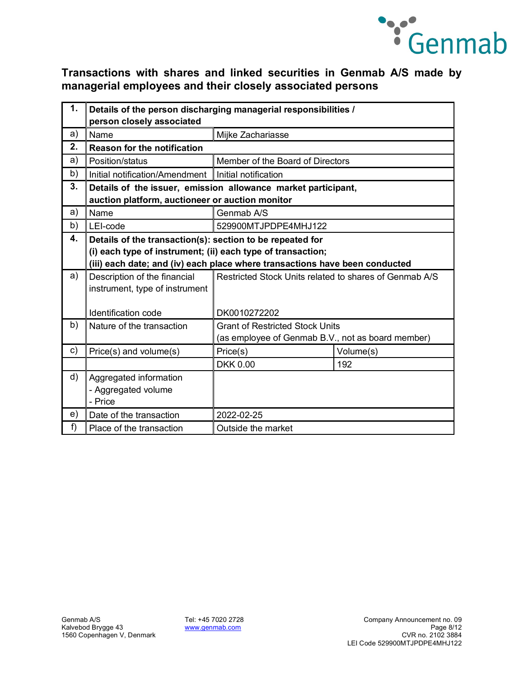

| 1. | Details of the person discharging managerial responsibilities / |                                                                             |           |
|----|-----------------------------------------------------------------|-----------------------------------------------------------------------------|-----------|
|    | person closely associated                                       |                                                                             |           |
| a) | Name                                                            | Mijke Zachariasse                                                           |           |
| 2. | <b>Reason for the notification</b>                              |                                                                             |           |
| a) | Position/status                                                 | Member of the Board of Directors                                            |           |
| b) | Initial notification/Amendment   Initial notification           |                                                                             |           |
| 3. | Details of the issuer, emission allowance market participant,   |                                                                             |           |
|    | auction platform, auctioneer or auction monitor                 |                                                                             |           |
| a) | Name                                                            | Genmab A/S                                                                  |           |
| b) | LEI-code                                                        | 529900MTJPDPE4MHJ122                                                        |           |
| 4. | Details of the transaction(s): section to be repeated for       |                                                                             |           |
|    | (i) each type of instrument; (ii) each type of transaction;     |                                                                             |           |
|    |                                                                 | (iii) each date; and (iv) each place where transactions have been conducted |           |
| a) | Description of the financial                                    | Restricted Stock Units related to shares of Genmab A/S                      |           |
|    | instrument, type of instrument                                  |                                                                             |           |
|    |                                                                 |                                                                             |           |
|    | Identification code                                             | DK0010272202                                                                |           |
| b) | Nature of the transaction                                       | <b>Grant of Restricted Stock Units</b>                                      |           |
|    |                                                                 | (as employee of Genmab B.V., not as board member)                           |           |
| c) | Price(s) and volume(s)                                          | Price(s)                                                                    | Volume(s) |
|    |                                                                 | <b>DKK 0.00</b>                                                             | 192       |
| d) | Aggregated information                                          |                                                                             |           |
|    | - Aggregated volume                                             |                                                                             |           |
|    | - Price                                                         |                                                                             |           |
| e) | Date of the transaction                                         | 2022-02-25                                                                  |           |
| f) | Place of the transaction                                        | Outside the market                                                          |           |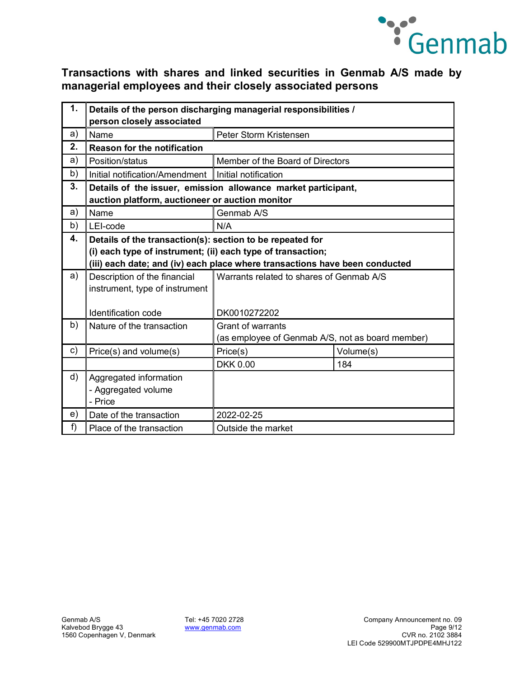

| 1. | Details of the person discharging managerial responsibilities / |                                                                             |           |  |
|----|-----------------------------------------------------------------|-----------------------------------------------------------------------------|-----------|--|
|    | person closely associated                                       |                                                                             |           |  |
| a) | Name                                                            | Peter Storm Kristensen                                                      |           |  |
| 2. | <b>Reason for the notification</b>                              |                                                                             |           |  |
| a) | Position/status                                                 | Member of the Board of Directors                                            |           |  |
| b) | Initial notification/Amendment                                  | Initial notification                                                        |           |  |
| 3. | Details of the issuer, emission allowance market participant,   |                                                                             |           |  |
|    | auction platform, auctioneer or auction monitor                 |                                                                             |           |  |
| a) | Name                                                            | Genmab A/S                                                                  |           |  |
| b) | LEI-code                                                        | N/A                                                                         |           |  |
| 4. | Details of the transaction(s): section to be repeated for       |                                                                             |           |  |
|    | (i) each type of instrument; (ii) each type of transaction;     |                                                                             |           |  |
|    |                                                                 | (iii) each date; and (iv) each place where transactions have been conducted |           |  |
| a) | Description of the financial                                    | Warrants related to shares of Genmab A/S                                    |           |  |
|    | instrument, type of instrument                                  |                                                                             |           |  |
|    |                                                                 |                                                                             |           |  |
|    | Identification code                                             | DK0010272202                                                                |           |  |
| b) | Nature of the transaction                                       | <b>Grant of warrants</b>                                                    |           |  |
|    |                                                                 | (as employee of Genmab A/S, not as board member)                            |           |  |
| c) | Price(s) and volume(s)                                          | Price(s)                                                                    | Volume(s) |  |
|    |                                                                 | <b>DKK 0.00</b>                                                             | 184       |  |
| d) | Aggregated information                                          |                                                                             |           |  |
|    | - Aggregated volume                                             |                                                                             |           |  |
|    | - Price                                                         |                                                                             |           |  |
| e) | Date of the transaction                                         | 2022-02-25                                                                  |           |  |
| f  | Place of the transaction                                        | Outside the market                                                          |           |  |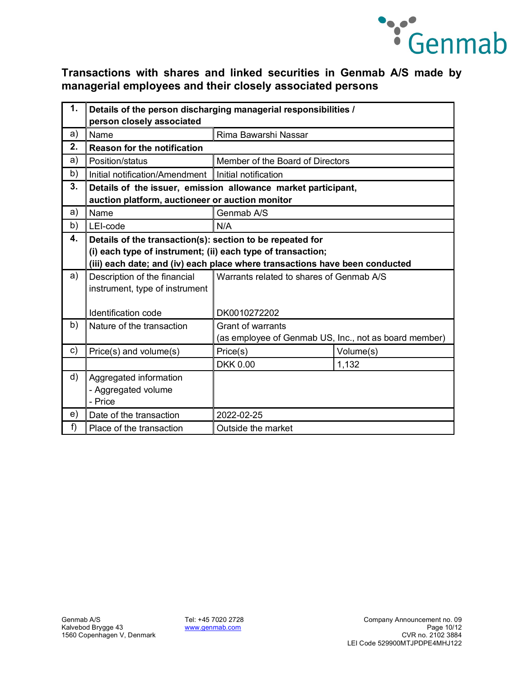

| 1. | Details of the person discharging managerial responsibilities / |                                                                             |                                          |  |
|----|-----------------------------------------------------------------|-----------------------------------------------------------------------------|------------------------------------------|--|
|    | person closely associated                                       |                                                                             |                                          |  |
| a) | Name<br>Rima Bawarshi Nassar                                    |                                                                             |                                          |  |
| 2. | <b>Reason for the notification</b>                              |                                                                             |                                          |  |
| a) | Position/status                                                 | Member of the Board of Directors                                            |                                          |  |
| b) | Initial notification/Amendment Initial notification             |                                                                             |                                          |  |
| 3. | Details of the issuer, emission allowance market participant,   |                                                                             |                                          |  |
|    | auction platform, auctioneer or auction monitor                 |                                                                             |                                          |  |
| a) | Name                                                            | Genmab A/S                                                                  |                                          |  |
| b) | LEI-code                                                        | N/A                                                                         |                                          |  |
| 4. | Details of the transaction(s): section to be repeated for       |                                                                             |                                          |  |
|    | (i) each type of instrument; (ii) each type of transaction;     |                                                                             |                                          |  |
|    |                                                                 | (iii) each date; and (iv) each place where transactions have been conducted |                                          |  |
| a) | Description of the financial                                    |                                                                             | Warrants related to shares of Genmab A/S |  |
|    | instrument, type of instrument                                  |                                                                             |                                          |  |
|    |                                                                 |                                                                             |                                          |  |
|    | Identification code                                             | DK0010272202                                                                |                                          |  |
| b) | Nature of the transaction                                       | <b>Grant of warrants</b>                                                    |                                          |  |
|    |                                                                 | (as employee of Genmab US, Inc., not as board member)                       |                                          |  |
| c) | Price(s) and volume(s)                                          | Price(s)                                                                    | Volume(s)                                |  |
|    |                                                                 | <b>DKK 0.00</b>                                                             | 1,132                                    |  |
| d) | Aggregated information                                          |                                                                             |                                          |  |
|    | - Aggregated volume                                             |                                                                             |                                          |  |
|    | - Price                                                         |                                                                             |                                          |  |
| e) | Date of the transaction                                         | 2022-02-25                                                                  |                                          |  |
| f) | Place of the transaction                                        | Outside the market                                                          |                                          |  |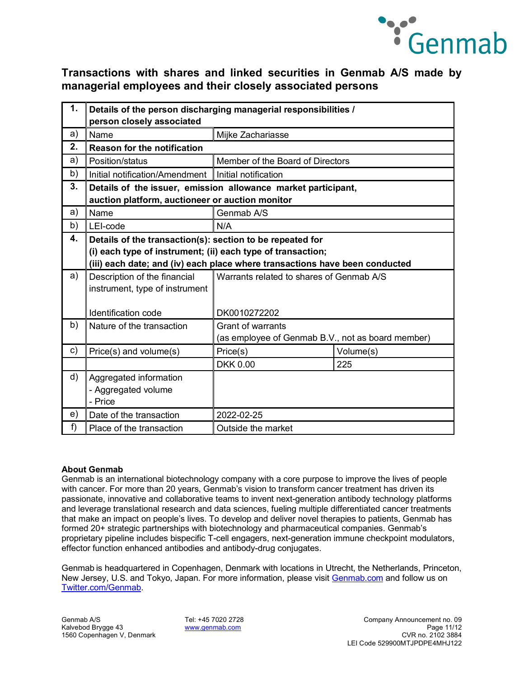

| 1. | Details of the person discharging managerial responsibilities / |                                                                             |           |  |
|----|-----------------------------------------------------------------|-----------------------------------------------------------------------------|-----------|--|
|    | person closely associated                                       |                                                                             |           |  |
| a) | Name<br>Mijke Zachariasse                                       |                                                                             |           |  |
| 2. | <b>Reason for the notification</b>                              |                                                                             |           |  |
| a) | Position/status                                                 | Member of the Board of Directors                                            |           |  |
| b) | Initial notification/Amendment   Initial notification           |                                                                             |           |  |
| 3. | Details of the issuer, emission allowance market participant,   |                                                                             |           |  |
|    | auction platform, auctioneer or auction monitor                 |                                                                             |           |  |
| a) | Name                                                            | Genmab A/S                                                                  |           |  |
| b) | LEI-code                                                        | N/A                                                                         |           |  |
| 4. | Details of the transaction(s): section to be repeated for       |                                                                             |           |  |
|    | (i) each type of instrument; (ii) each type of transaction;     |                                                                             |           |  |
|    |                                                                 | (iii) each date; and (iv) each place where transactions have been conducted |           |  |
| a) | Description of the financial                                    | Warrants related to shares of Genmab A/S                                    |           |  |
|    | instrument, type of instrument                                  |                                                                             |           |  |
|    |                                                                 |                                                                             |           |  |
|    | Identification code                                             | DK0010272202                                                                |           |  |
| b) | Nature of the transaction                                       | <b>Grant of warrants</b>                                                    |           |  |
|    |                                                                 | (as employee of Genmab B.V., not as board member)                           |           |  |
| c) | Price(s) and volume(s)                                          | Price(s)                                                                    | Volume(s) |  |
|    |                                                                 | <b>DKK 0.00</b>                                                             | 225       |  |
| d) | Aggregated information                                          |                                                                             |           |  |
|    | - Aggregated volume                                             |                                                                             |           |  |
|    | - Price                                                         |                                                                             |           |  |
| e) | Date of the transaction                                         | 2022-02-25                                                                  |           |  |
| f) | Place of the transaction                                        | Outside the market                                                          |           |  |

#### **About Genmab**

Genmab is an international biotechnology company with a core purpose to improve the lives of people with cancer. For more than 20 years, Genmab's vision to transform cancer treatment has driven its passionate, innovative and collaborative teams to invent next-generation antibody technology platforms and leverage translational research and data sciences, fueling multiple differentiated cancer treatments that make an impact on people's lives. To develop and deliver novel therapies to patients, Genmab has formed 20+ strategic partnerships with biotechnology and pharmaceutical companies. Genmab's proprietary pipeline includes bispecific T-cell engagers, next-generation immune checkpoint modulators, effector function enhanced antibodies and antibody-drug conjugates.

Genmab is headquartered in Copenhagen, Denmark with locations in Utrecht, the Netherlands, Princeton, New Jersey, U.S. and Tokyo, Japan. For more information, please visit [Genmab.com](https://protect-us.mimecast.com/s/QcO5C82g3nfWRL1Xt1aChT?domain=genmab.com/) and follow us on [Twitter.com/Genmab.](https://twitter.com/Genmab)